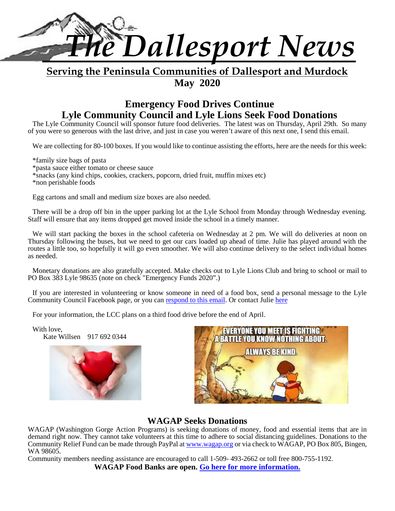

# **Serving the Peninsula Communities of Dallesport and Murdock May 2020**

# **Emergency Food Drives Continue Lyle Community Council and Lyle Lions Seek Food Donations**

The Lyle Community Council will sponsor future food deliveries. The latest was on Thursday, April 29th. So many of you were so generous with the last drive, and just in case you weren't aware of this next one, I send this email.

We are collecting for 80-100 boxes. If you would like to continue assisting the efforts, here are the needs for this week:

\*family size bags of pasta \*pasta sauce either tomato or cheese sauce \*snacks (any kind chips, cookies, crackers, popcorn, dried fruit, muffin mixes etc) \*non perishable foods

Egg cartons and small and medium size boxes are also needed.

There will be a drop off bin in the upper parking lot at the Lyle School from Monday through Wednesday evening. Staff will ensure that any items dropped get moved inside the school in a timely manner.

We will start packing the boxes in the school cafeteria on Wednesday at 2 pm. We will do deliveries at noon on Thursday following the buses, but we need to get our cars loaded up ahead of time. Julie has played around with the routes a little too, so hopefully it will go even smoother. We will also continue delivery to the select individual homes as needed.

Monetary donations are also gratefully accepted. Make checks out to Lyle Lions Club and bring to school or mail to PO Box 383 Lyle 98635 (note on check "Emergency Funds 2020".)

If you are interested in volunteering or know someone in need of a food box, send a personal message to the Lyle Community Council Facebook page, or you can respond to this email. Or contact Julie here

For your information, the LCC plans on a third food drive before the end of April.

With love, Kate Willsen 917 692 0344





# **WAGAP Seeks Donations**

WAGAP (Washington Gorge Action Programs) is seeking donations of money, food and essential items that are in demand right now. They cannot take volunteers at this time to adhere to social distancing guidelines. Donations to the Community Relief Fund can be made through PayPal at www.wagap.org or via check to WAGAP, PO Box 805, Bingen, WA 98605.

Community members needing assistance are encouraged to call 1-509- 493-2662 or toll free 800-755-1192.

**WAGAP Food Banks are open. Go here for more information.**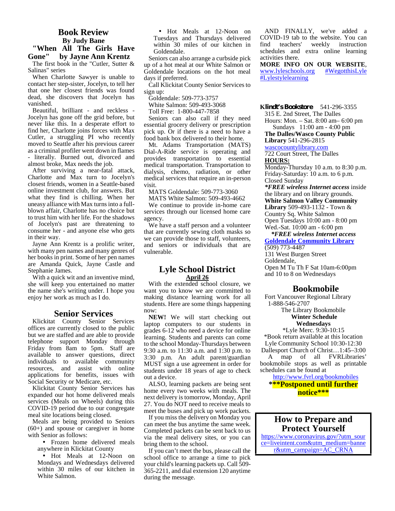#### **Book Review By Judy Bane "When All The Girls Have Gone" by Jayne Ann Krentz**

The first book in the "Cutler, Sutter & Salinas" series

When Charlotte Sawyer is unable to contact her step-sister, Jocelyn, to tell her that one her closest friends was found dead, she discovers that Jocelyn has vanished.

Beautiful, brilliant - and reckless - Jocelyn has gone off the grid before, but never like this. In a desperate effort to find her, Charlotte joins forces with Max Cutler, a struggling PI who recently moved to Seattle after his previous career as a criminal profiler went down in flames - literally. Burned out, divorced and almost broke, Max needs the job.

After surviving a near-fatal attack, Charlotte and Max turn to Jocelyn's closest friends, women in a Seattle-based online investment club, for answers. But what they find is chilling. When her uneasy alliance with Max turns into a full blown affair, Charlotte has no choice but to trust him with her life. For the shadows of Jocelyn's past are threatening to consume her - and anyone else who gets in their way.

Jayne Ann Krentz is a prolific writer, with many pen names and many genres of her books in print. Some of her pen names are Amanda Quick, Jayne Castle and Stephanie James.

With a quick wit and an inventive mind, she will keep you entertained no matter the name she's writing under. I hope you enjoy her work as much as I do.

#### **Senior Services**

Klickitat County Senior Services offices are currently closed to the public but we are staffed and are able to provide telephone support Monday through Friday from 8am to 5pm. Staff are available to answer questions, direct individuals to available community resources, and assist with online applications for benefits, issues with Social Security or Medicare, etc.

Klickitat County Senior Services has expanded our hot home delivered meals services (Meals on Wheels) during this COVID-19 period due to our congregate meal site locations being closed.

Meals are being provided to Seniors (60+) and spouse or caregiver in home with Senior as follows:

 Frozen home delivered meals anywhere in Klickitat County

 Hot Meals at 12-Noon on Mondays and Wednesdays delivered within 30 miles of our kitchen in White Salmon.

 Hot Meals at 12-Noon on Tuesdays and Thursdays delivered within 30 miles of our kitchen in Goldendale.

Seniors can also arrange a curbside pick up of a hot meal at our White Salmon or Goldendale locations on the hot meal days if preferred.

Call Klickitat County Senior Services to sign up:

Goldendale: 509-773-3757

White Salmon: 509-493-3068

Toll Free: 1-800-447-7858

Seniors can also call if they need essential grocery delivery or prescription pick up. Or if there is a need to have a food bank box delivered to their home.

Mt. Adams Transportation (MATS) Dial-A-Ride service is operating and provides transportation to essential medical transportation. Transportation to dialysis, chemo, radiation, or other medical services that require an in-person visit.

MATS Goldendale: 509-773-3060

MATS White Salmon: 509-493-4662 We continue to provide in-home care services through our licensed home care agency.

We have a staff person and a volunteer that are currently sewing cloth masks so we can provide those to staff, volunteers, and seniors or individuals that are vulnerable.

# **Lyle School District April 26**

With the extended school closure, we want you to know we are committed to making distance learning work for all students. Here are some things happening now:

**NEW!** We will start checking out laptop computers to our students in grades 6-12 who need a device for online learning. Students and parents can come to the school Monday-Thursdays between 9:30 a.m. to 11:30 a.m. and 1:30 p.m. to 3:30 p.m. An adult parent/guardian MUST sign a use agreement in order for students under 18 years of age to check out a device.

ALSO, learning packets are being sent home every two weeks with meals. The next delivery is tomorrow, Monday, April 27. You do NOT need to receive meals to meet the buses and pick up work packets.

If you miss the delivery on Monday you can meet the bus anytime the same week. Completed packets can be sent back to us via the meal delivery sites, or you can bring them to the school.

If you can't meet the bus, please call the school office to arrange a time to pick your child's learning packets up. Call 509- 365-2211, and dial extension 120 anytime during the message.

AND FINALLY, we've added a COVID-19 tab to the website. You can<br>find teachers' weekly instruction find teachers' weekly instruction schedules and extra online learning activities there.

**MORE INFO ON OUR WEBSITE,**<br>www.lyleschools.org #WegotthisLyle www.lyleschools.org #Lylestylelearning

**Klindt's Bookstore** 541-296-3355 315 E. 2nd Street, The Dalles

Hours: Mon. – Sat.8:00 am– 6:00 pm Sundays 11:00 am - 4:00 pm

**The Dalles/Wasco County Public Library** 541-296-2815

wascocountylibrary.com

722 Court Street, The Dalles **HOURS:**

Monday-Thursday 10 a.m. to 8:30 p.m. Friday-Saturday: 10 a.m. to 6 p.m. Closed Sunday

*\*FREE wireless Internet access* inside the library and on library grounds. **White Salmon Valley Community Library** 509-493-1132 - Town & Country Sq. White Salmon Open Tuesdays 10:00 am - 8:00 pm Wed.-Sat. 10:00 am - 6:00 pm

*\*FREE wireless Internet access* **Goldendale Community Library** (509) 773-4487 131 West Burgen Street Goldendale, Open M Tu Th F Sat 10am-6:00pm and 10 to 8 on Wednesdays

# **Bookmobile**

Fort Vancouver Regional Library 1-888-546-2707

The Library Bookmobile **Winter Schedule**

**Wednesdays**

\*Lyle Merc. 9:30-10:15 \*Book return available at this location Lyle Community School 10:30-12:30 Dallesport Church of Christ…1:45–3:00 A map of all FVRLibraries' bookmobile stops as well as printable schedules can be found at

http://www.fvrl.org/bookmobiles **\*\*\*Postponed until further notice\*\*\***

**How to Prepare and Protect Yourself** https://www.coronavirus.gov/?utm\_sour ce=liveintent.com&utm\_medium=banne r&utm\_campaign=AC\_CRNA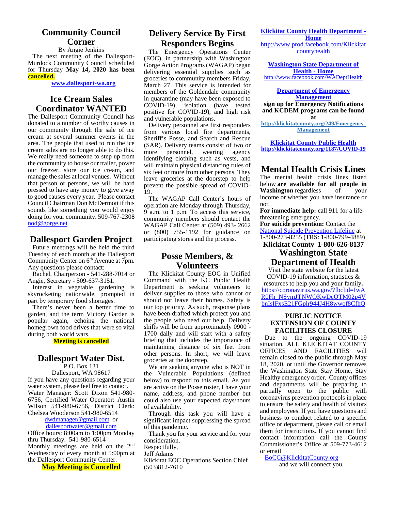# **Community Council Corner**

By Angie Jenkins The next meeting of the Dallesport- Murdock Community Council scheduled for Thursday **May 14, 2020 has been cancelled.**

**www.dallesport-wa.org**

# **Ice Cream Sales Coordinator WANTED**

The Dallesport Community Council has donated to a number of worthy causes in our community through the sale of ice cream at several summer events in the area. The people that used to run the ice cream sales are no longer able to do this. more We really need someone to step up from the community to house our trailer, power our freezer, store our ice cream, and manage the sales at local venues. Without that person or persons, we will be hard pressed to have any money to give away to good causes every year. Please contact Council Chairman Don McDermott if this sounds like something you would enjoy doing for your community. 509-767-2308 nod@gorge.net

# **Dallesport Garden Project**

Future meetings will be held the third Tuesday of each month at the Dallesport Community Center on  $6<sup>th</sup>$  Avenue at 7pm. Any questions please contact:

Rachel, Chairperson - 541-288-7014 or Angie, Secretary - 509-637-3151.

Interest in vegetable gardening is skyrocketing nationwide, prompted in part by temporary food shortages.

There's never been a better time to garden, and the term Victory Garden is popular again, echoing the national homegrown food drives that were so vital during both world wars.

**Meeting is cancelled**

# **Dallesport Water Dist.**

P.O. Box 131

Dallesport, WA 98617 If you have any questions regarding your water system, please feel free to contact. Water Manager: Scott Dixon 541-980- 6756, Certified Water Operator: Austin Wilson 541-980-6756, District Clerk: Chelsea Wooderson 541-980-6514

#### dwdmanager@gmail.com or dallesportwater@gmail.com

Office hours: 8:00am to 1:00pm Monday thru Thursday. 541-980-6514 Monthly meetings are held on the 2nd Wednesday of every month at 5:00pm at the Dallesport Community Center.

**May Meeting is Cancelled**

# **Delivery Service By First Responders Begins**

The Emergency Operations Center (EOC), in partnership with Washington Gorge Action Programs (WAGAP) began delivering essential supplies such as groceries to community members Friday, March 27. This service is intended for members of the Goldendale community in quarantine (may have been exposed to COVID-19), isolation (have tested positive for COVID-19), and high risk and vulnerable populations.

Delivery personnel are first responders from various local fire departments, Sheriff's Posse, and Search and Rescue (SAR). Delivery teams consist of two or<br>more personnel, wearing agency personnel, identifying clothing such as vests, and will maintain physical distancing rules of six feet or more from other persons. They leave groceries at the doorstep to help prevent the possible spread of COVID- 19.

The WAGAP Call Center's hours of operation are Monday through Thursday, 9 a.m. to 1 p.m. To access this service, community members should contact the WAGAP Call Center at (509) 493- 2662 or (800) 755-1192 for guidance on participating stores and the process.

# **Posse Members, & Volunteers**

The Klickitat County EOC in Unified Command with the KC Public Health Department is seeking volunteers to deliver supplies to those who cannot or should not leave their homes. Safety is our top priority. As such, response plans have been drafted which protect you and the people who need our help. Delivery shifts will be from approximately 0900 - 1700 daily and will start with a safety briefing that includes the importance of maintaining distance of six feet from other persons. In short, we will leave groceries at the doorstep.

We are seeking anyone who is NOT in the Vulnerable Populations (defined below) to respond to this email. As you are active on the Posse roster, I have your name, address, and phone number but could also use your expected days/hours of availability.

Through this task you will have a significant impact suppressing the spread of this pandemic.

Thank you for your service and for your consideration.

Respectfully,

Jeff Adams

Klickitat EOC Operations Section Chief (503)812-7610

#### **Klickitat County Health Department -**

**Home** http://www.prod.facebook.com/Klickitat countyhealth

**Washington State Department of Health - Home** http://www.facebook.com/WADeptHealth

**Department of Emergency Management sign up for Emergency Notifications and KCDEM programs can be found at http://klickitatcounty.org/249/Emergency- Management**

**Klickitat County Public Health http://klickitatcounty.org/1187/COVID-19**

# **Mental Health Crisis Lines**

The mental health crisis lines listed below **are available for all people in Washington** regardless of your income or whether you have insurance or not.

**For immediate help:** call 911 for a lifethreatening emergency.

**For suicide prevention:** Contact the National Suicide Prevention Lifeline at 1-800-273-8255 (TRS: 1-800-799-4889)

# **Klickitat County 1-800-626-8137 Washington State**

# **Department of Health**

Visit the state website for the latest COVID-19 information, statistics &

resources to help you and your family**.** https://coronavirus.wa.gov/?fbclid=IwA R0Fh\_NSvmJTNWOKwDcQTM02p4V bnIsIFxsE21FGplr944J4H8wwof8CfhQ

#### **PUBLIC NOTICE EXTENSION OF COUNTY FACILITIES CLOSURE**

Due to the ongoing COVID-19 situation, ALL KLICKITAT COUNTY OFFICES AND FACILITIES will remain closed to the public through May 18, 2020, or until the Governor removes the Washington State Stay Home, Stay Healthy emergency order. County offices and departments will be preparing to partially open to the public with coronavirus prevention protocols in place to ensure the safety and health of visitors and employees. If you have questions and business to conduct related to a specific office or department, please call or email them for instructions. If you cannot find contact information call the County Commissioner's Office at 509-773-4612 or email

BoCC@KlickitatCounty.org and we will connect you.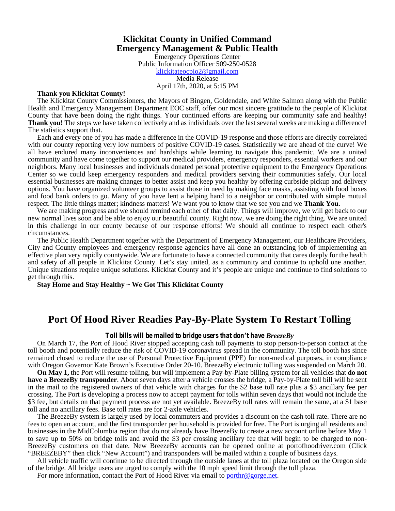# **Klickitat County in Unified Command Emergency Management & Public Health**

Emergency Operations Center Public Information Officer 509-250-0528 klickitateocpio2@gmail.com Media Release April 17th, 2020, at 5:15 PM

#### **Thank you Klickitat County!**

The Klickitat County Commissioners, the Mayors of Bingen, Goldendale, and White Salmon along with the Public Health and Emergency Management Department EOC staff, offer our most sincere gratitude to the people of Klickitat County that have been doing the right things. Your continued efforts are keeping our community safe and healthy! **Thank you!** The steps we have taken collectively and as individuals over the last several weeks are making a difference! The statistics support that.

Each and every one of you has made a difference in the COVID-19 response and those efforts are directly correlated with our county reporting very low numbers of positive COVID-19 cases. Statistically we are ahead of the curve! We all have endured many inconveniences and hardships while learning to navigate this pandemic. We are a united community and have come together to support our medical providers, emergency responders, essential workers and our neighbors. Many local businesses and individuals donated personal protective equipment to the Emergency Operations Center so we could keep emergency responders and medical providers serving their communities safely. Our local essential businesses are making changes to better assist and keep you healthy by offering curbside pickup and delivery options. You have organized volunteer groups to assist those in need by making face masks, assisting with food boxes and food bank orders to go. Many of you have lent a helping hand to a neighbor or contributed with simple mutual respect. The little things matter; kindness matters! We want you to know that we see you and we **Thank You**.

We are making progress and we should remind each other of that daily. Things will improve, we will get back to our new normal lives soon and be able to enjoy our beautiful county. Right now, we are doing the right thing. We are united in this challenge in our county because of our response efforts! We should all continue to respect each other's circumstances.

The Public Health Department together with the Department of Emergency Management, our Healthcare Providers, City and County employees and emergency response agencies have all done an outstanding job of implementing an effective plan very rapidly countywide. We are fortunate to have a connected community that cares deeply for the health and safety of all people in Klickitat County. Let's stay united, as a community and continue to uphold one another. Unique situations require unique solutions. Klickitat County and it's people are unique and continue to find solutions to get through this.

**Stay Home and Stay Healthy ~ We Got This Klickitat County**

# **Port Of Hood River Readies Pay-By-Plate System To Restart Tolling**

#### *Toll bills will be mailed to bridge users that don't have BreezeBy*

On March 17, the Port of Hood River stopped accepting cash toll payments to stop person-to-person contact at the toll booth and potentially reduce the risk of COVID-19 coronavirus spread in the community. The toll booth has since remained closed to reduce the use of Personal Protective Equipment (PPE) for non-medical purposes, in compliance with Oregon Governor Kate Brown's Executive Order 20-10. BreezeBy electronic tolling was suspended on March 20.

**On May 1,** the Port will resume tolling, but will implement a Pay-by-Plate billing system for all vehicles that **do not have a BreezeBy transponder**. About seven days after a vehicle crosses the bridge, a Pay-by-Plate toll bill will be sent in the mail to the registered owners of that vehicle with charges for the \$2 base toll rate plus a \$3 ancillary fee per crossing. The Port is developing a process now to accept payment for tolls within seven days that would not include the \$3 fee, but details on that payment process are not yet available. BreezeBy toll rates will remain the same, at a \$1 base toll and no ancillary fees. Base toll rates are for 2-axle vehicles.

The BreezeBy system is largely used by local commuters and provides a discount on the cash toll rate. There are no fees to open an account, and the first transponder per household is provided for free. The Port is urging all residents and businesses in the MidColumbia region that do not already have BreezeBy to create a new account online before May 1 to save up to 50% on bridge tolls and avoid the \$3 per crossing ancillary fee that will begin to be charged to non- BreezeBy customers on that date. New BreezeBy accounts can be opened online at portofhoodriver.com (Click "BREEZEBY" then click "New Account") and transponders will be mailed within a couple of business days.

All vehicle traffic will continue to be directed through the outside lanes at the toll plaza located on the Oregon side of the bridge. All bridge users are urged to comply with the 10 mph speed limit through the toll plaza.

For more information, contact the Port of Hood River via email to porthr@gorge.net.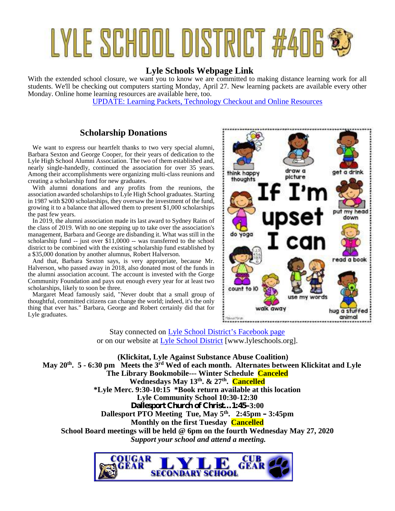# LYLE SCHOOL DISTRICT #406

# **Lyle Schools Webpage Link**

With the extended school closure, we want you to know we are committed to making distance learning work for all students. We'll be checking out computers starting Monday, April 27. New learning packets are available every other Monday. Online home learning resources are available here, too.

UPDATE: Learning Packets, Technology Checkout and Online Resources

# **Scholarship Donations**

We want to express our heartfelt thanks to two very special alumni, Barbara Sexton and George Cooper, for their years of dedication to the Lyle High School Alumni Association. The two of them established and, nearly single-handedly, continued the association for over 35 years. Among their accomplishments were organizing multi-class reunions and<br>creating a scholarship fund for new graduates creating a scholarship fund for new graduates.

With alumni donations and any profits from the reunions, the association awarded scholarships to Lyle High School graduates. Starting in 1987 with \$200 scholarships, they oversaw the investment of the fund, growing it to a balance that allowed them to present \$1,000 scholarships the past few years.

In 2019, the alumni association made its last award to Sydney Rains of the class of 2019. With no one stepping up to take over the association's management, Barbara and George are disbanding it. What was still in the scholarship fund -- just over \$11,0000 -- was transferred to the school district to be combined with the existing scholarship fund established by a \$35,000 donation by another alumnus, Robert Halverson.

And that, Barbara Sexton says, is very appropriate, because Mr. Halverson, who passed away in 2018, also donated most of the funds in the alumni association account. The account is invested with the Gorge Community Foundation and pays out enough every year for at least two scholarships, likely to soon be three.

Margaret Mead famously said, "Never doubt that a small group of thoughtful, committed citizens can change the world; indeed, it's the only thing that ever has." Barbara, George and Robert certainly did that for Lyle graduates.



Stay connected on Lyle School District's Facebook page or on our website at Lyle School District [www.lyleschools.org].

**(Klickitat, Lyle Against Substance Abuse Coalition) May 20th. 5 - 6:30 pm Meets the 3rd Wed of each month. Alternates between Klickitat and Lyle The Library Bookmobile--- Winter Schedule Canceled Wednesdays May 13th. & 27th . Cancelled \*Lyle Merc. 9:30-10:15 \*Book return available at this location Lyle Community School 10:30-12:30 Dallesport Church of Christ…1:45–3:00 Dallesport PTO Meeting Tue, May 5th . 2:45pm – 3:45pm Monthly on the first Tuesday Cancelled School Board meetings will be held @ 6pm on the fourth Wednesday May 27, 2020** *Support your school and attend a meeting.*

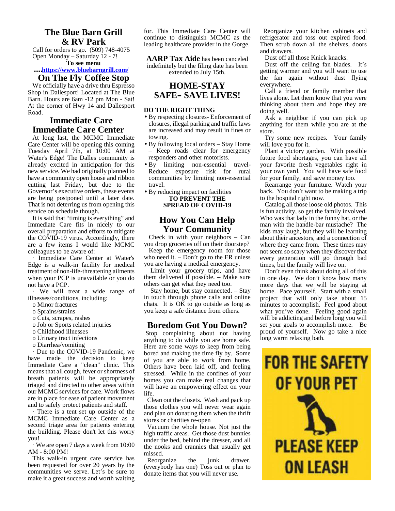#### **The Blue Barn Grill & RV Park**

Call for orders to go. (509) 748-4075 Open Monday – Saturday 12 - 7! **To see menu**

#### **….https://www.bluebarngrill.com/**

# **On The Fly Coffee Stop**

We officially have a drive thru Espresso Shop in Dallesport! Located at The Blue Barn. Hours are 6am -12 pm Mon - Sat! At the corner of Hwy 14 and Dallesport Road.

# **Immediate Care Immediate Care Center**

At long last, the MCMC Immediate Care Center will be opening this coming Tuesday April 7th, at 10:00 AM at Water's Edge! The Dalles community is already excited in anticipation for this new service. We had originally planned to have a community open house and ribbon cutting last Friday, but due to the Governor's executive orders, these events are being postponed until a later date. That is not deterring us from opening this service on schedule though.

It is said that "timing is everything" and Immediate Care fits in nicely to our overall preparation and efforts to mitigate the COVID-19 virus. Accordingly, there are a few items I would like MCMC colleagues to be aware of:

· Immediate Care Center at Water's Edge is a walk-in facility for medical treatment of non-life-threatening ailments when your PCP is unavailable or you do not have a PCP.

· We will treat a wide range of illnesses/conditions, including:

- o Minor fractures
- o Sprains/strains
- o Cuts, scrapes, rashes
- o Job or Sports related injuries
- o Childhood illnesses o Urinary tract infections
- o Diarrhea/vomiting

· Due to the COVID-19 Pandemic, we have made the decision to keep Immediate Care a "clean" clinic. This means that all cough, fever or shortness of breath patients will be appropriately triaged and directed to other areas within our MCMC services for care. Work flows are in place for ease of patient movement and to safely protect patients and staff.

There is a tent set up outside of the MCMC Immediate Care Center as a second triage area for patients entering the building. Please don't let this worry you!

· We are open 7 days a week from 10:00 AM - 8:00 PM!

This walk-in urgent care service has been requested for over 20 years by the communities we serve. Let's be sure to make it a great success and worth waiting

for. This Immediate Care Center will continue to distinguish MCMC as the leading healthcare provider in the Gorge.

**AARP Tax Aide** has been canceled indefinitely but the filing date has been extended to July 15th.

#### **HOME-STAY SAFE– SAVE LIVES!**

#### **DO THE RIGHT THING**

- By respecting closures- Enforcement of closures, illegal parking and traffic laws are increased and may result in fines or towing.
- By following local orders Stay Home – Keep roads clear for emergency responders and other motorists.
- By limiting non-essential travel- Reduce exposure risk for rural communities by limiting non-essential travel.

#### By reducing impact on facilities **TO PREVENT THE SPREAD OF COVID-19**

# **How You Can Help Your Community**

Check in with your neighbors – Can you drop groceries off on their doorstep?

Keep the emergency room for those who need it. – Don't go to the ER unless you are having a medical emergency.

Limit your grocery trips, and have them delivered if possible. – Make sure others can get what they need too.

Stay home, but stay connected. – Stay in touch through phone calls and online chats. It is OK to go outside as long as you keep a safe distance from others.

#### **Boredom Got You Down?**

Stop complaining about not having anything to do while you are home safe. Here are some ways to keep from being of you are able to work from home. Others have been laid off, and feeling stressed. While in the confines of your homes you can make real changes that will have an empowering effect on your life.

Clean out the closets. Wash and pack up those clothes you will never wear again and plan on donating them when the thrift stores or charities re-open

Vacuum the whole house. Not just the high traffic areas. Get those dust bunnies under the bed, behind the dresser, and all the nooks and crannies that usually get missed.

Reorganize the junk drawer. (everybody has one) Toss out or plan to donate items that you will never use.

Reorganize your kitchen cabinets and refrigerator and toss out expired food. Then scrub down all the shelves, doors and drawers.

Dust off all those Knick knacks.

Dust off the ceiling fan blades. It's getting warmer and you will want to use the fan again without dust flying everywhere.

Call a friend or family member that lives alone. Let them know that you were thinking about them and hope they are doing well.

Ask a neighbor if you can pick up anything for them while you are at the store.

Try some new recipes. Your family will love you for it.

Plant a victory garden. With possible future food shortages, you can have all your favorite fresh vegetables right in your own yard. You will have safe food for your family, and save money too.

Rearrange your furniture. Watch your back. You don't want to be making a trip to the hospital right now.

Catalog all those loose old photos. This is fun activity, so get the family involved. Who was that lady in the funny hat, or the man with the handle-bar mustache? The kids may laugh, but they will be learning about their ancestors, and a connection of where they came from. These times may not seem so scary when they discover that every generation will go through bad times, but the family will live on.

Don't even think about doing all of this in one day. We don't know how many more days that we will be staying at home. Pace yourself. Start with a small project that will only take about 15 minutes to accomplish. Feel good about what you've done. Feeling good again will be addicting and before long you will set your goals to accomplish more. Be proud of yourself. Now go take a nice long warm relaxing bath.

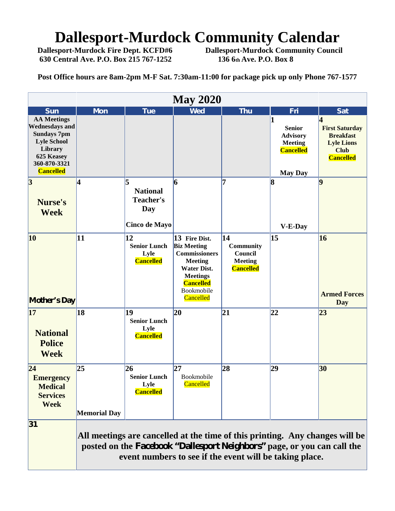# **Dallesport-Murdock Community Calendar**<br>Dallesport-Murdock Fire Dept. KCFD#6 Dallesport-Murdock Community Council

**630 Central Ave. P.O. Box 215 767-1252 136 6th Ave. P.O. Box 8**

**Dallesport-Murdock Community Council** 

**Post Office hours are 8am-2pm M-F Sat. 7:30am-11:00 for package pick up only Phone 767-1577**

|                                                                                                                                                      |                           |                                                                                                                                    | <b>May 2020</b>                                                                                                                                                       |                                                                         |                                                                                          |                                                                                                        |
|------------------------------------------------------------------------------------------------------------------------------------------------------|---------------------------|------------------------------------------------------------------------------------------------------------------------------------|-----------------------------------------------------------------------------------------------------------------------------------------------------------------------|-------------------------------------------------------------------------|------------------------------------------------------------------------------------------|--------------------------------------------------------------------------------------------------------|
| <b>Sun</b>                                                                                                                                           | <b>Mon</b>                | Tue                                                                                                                                | <b>Wed</b>                                                                                                                                                            | <b>Thu</b>                                                              | Fri                                                                                      | <b>Sat</b>                                                                                             |
| <b>AA Meetings</b><br><b>Wednesdays and</b><br><b>Sundays 7pm</b><br><b>Lyle School</b><br>Library<br>625 Keasey<br>360-870-3321<br><b>Cancelled</b> |                           |                                                                                                                                    |                                                                                                                                                                       |                                                                         | <b>Senior</b><br><b>Advisory</b><br><b>Meeting</b><br><b>Cancelled</b><br><b>May Day</b> | 4<br><b>First Saturday</b><br><b>Breakfast</b><br><b>Lyle Lions</b><br><b>Club</b><br><b>Cancelled</b> |
| $\overline{\mathbf{3}}$<br>Nurse's<br><b>Week</b>                                                                                                    | 4                         | l5<br><b>National</b><br>Teacher's<br>Day<br><b>Cinco de Mayo</b>                                                                  | 6                                                                                                                                                                     | 7                                                                       | 8<br>V-E-Day                                                                             | 9                                                                                                      |
| 10<br><b>Mother's Day</b>                                                                                                                            | 11                        | 12<br><b>Senior Lunch</b><br>Lyle<br><b>Cancelled</b>                                                                              | 13 Fire Dist.<br><b>Biz Meeting</b><br><b>Commissioners</b><br><b>Meeting</b><br><b>Water Dist.</b><br><b>Meetings</b><br><b>Cancelled</b><br>Bookmobile<br>Cancelled | 14<br><b>Community</b><br>Council<br><b>Meeting</b><br><b>Cancelled</b> | 15                                                                                       | 16<br><b>Armed Forces</b><br><b>Day</b>                                                                |
| 17<br><b>National</b><br><b>Police</b><br><b>Week</b>                                                                                                | 18                        | 19<br><b>Senior Lunch</b><br>Lyle<br><b>Cancelled</b>                                                                              | $ 20\rangle$                                                                                                                                                          | 21                                                                      | 22                                                                                       | 23                                                                                                     |
| $\overline{24}$<br><b>Emergency</b><br><b>Medical</b><br><b>Services</b><br><b>Week</b>                                                              | 25<br><b>Memorial Day</b> | 26<br><b>Senior Lunch</b><br>Lyle<br><b>Cancelled</b>                                                                              | 27<br>Bookmobile<br>Cancelled                                                                                                                                         | 28                                                                      | 29                                                                                       | 30                                                                                                     |
| 31                                                                                                                                                   |                           | posted on the Facebook "Dallesport Neighbors" page, or you can call the<br>event numbers to see if the event will be taking place. |                                                                                                                                                                       |                                                                         |                                                                                          | All meetings are cancelled at the time of this printing. Any changes will be                           |